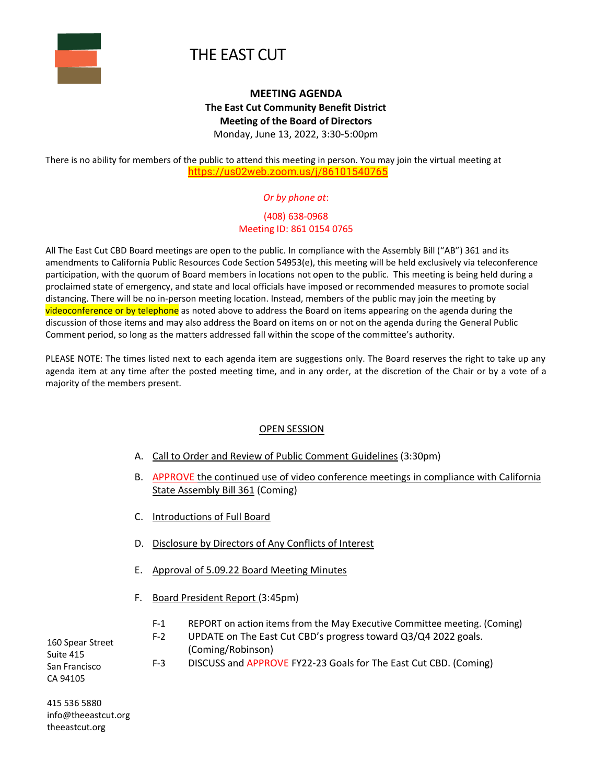

# THE EAST CUT

## **MEETING AGENDA The East Cut Community Benefit District Meeting of the Board of Directors** Monday, June 13, 2022, 3:30-5:00pm

There is no ability for members of the public to attend this meeting in person. You may join the virtual meeting at [https://us02web.zoom.us/j/86101540765](https://www.google.com/url?q=https://us02web.zoom.us/j/86101540765&sa=D&source=calendar&ust=1644644777770674&usg=AOvVaw2p1Zz5Ce3EmH2JTPWnVsq4)

#### *Or by phone at*:

#### (408) 638-0968 Meeting ID: 861 0154 0765

All The East Cut CBD Board meetings are open to the public. In compliance with the Assembly Bill ("AB") 361 and its amendments to California Public Resources Code Section 54953(e), this meeting will be held exclusively via teleconference participation, with the quorum of Board members in locations not open to the public. This meeting is being held during a proclaimed state of emergency, and state and local officials have imposed or recommended measures to promote social distancing. There will be no in-person meeting location. Instead, members of the public may join the meeting by videoconference or by telephone as noted above to address the Board on items appearing on the agenda during the discussion of those items and may also address the Board on items on or not on the agenda during the General Public Comment period, so long as the matters addressed fall within the scope of the committee's authority.

PLEASE NOTE: The times listed next to each agenda item are suggestions only. The Board reserves the right to take up any agenda item at any time after the posted meeting time, and in any order, at the discretion of the Chair or by a vote of a majority of the members present.

#### OPEN SESSION

- A. Call to Order and Review of Public Comment Guidelines (3:30pm)
- B. APPROVE the continued use of video conference meetings in compliance with California State Assembly Bill 361 (Coming)
- C. Introductions of Full Board
- D. Disclosure by Directors of Any Conflicts of Interest
- E. Approval of 5.09.22 Board Meeting Minutes
- F. Board President Report (3:45pm)
	- F-1 REPORT on action items from the May Executive Committee meeting. (Coming)
	- F-2 UPDATE on The East Cut CBD's progress toward Q3/Q4 2022 goals. (Coming/Robinson)
	- F-3 DISCUSS and APPROVE FY22-23 Goals for The East Cut CBD. (Coming)

160 Spear Street Suite 415 San Francisco CA 94105

415 536 5880 [info@theeastcut.org](mailto:info@theeastcut.org) [theeastcut.org](http://theeastcut.org/)